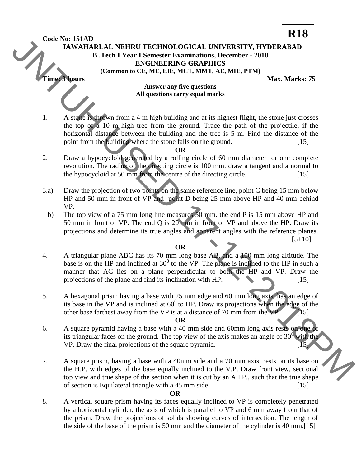**Code No: 151AD**

# **JAWAHARLAL NEHRU TECHNOLOGICAL UNIVERSITY, HYDERABAD B .Tech I Year I Semester Examinations, December - 2018 ENGINEERING GRAPHICS (Common to CE, ME, EIE, MCT, MMT, AE, MIE, PTM) Time: 3 hours** Max. Marks: 75

**R18**

#### **Answer any five questions All questions carry equal marks - - -**

1. A stone is thrown from a 4 m high building and at its highest flight, the stone just crosses the top of a 10 m high tree from the ground. Trace the path of the projectile, if the horizontal distance between the building and the tree is 5 m. Find the distance of the point from the building where the stone falls on the ground. [15] Code No: 151AD<br>
13. The LIX CONTENETRY IESTING LOGICAL UNIVERSITY. IIYDERABAD<br>
13. The LIX CONTENETRY SCONDING TRIME IS CONTENENT TO THE CONTENENT CONTENENT TO THE CONTENENT AND CONTENENT (COMMON TOWARD MISSING THE CONTEN

### **OR**

- 2. Draw a hypocycloid generated by a rolling circle of 60 mm diameter for one complete revolution. The radius of the directing circle is 100 mm. draw a tangent and a normal to the hypocycloid at 50 mm from the centre of the directing circle. [15]
- 3.a) Draw the projection of two points on the same reference line, point C being 15 mm below HP and 50 mm in front of VP and point D being 25 mm above HP and 40 mm behind VP.
	- b) The top view of a 75 mm long line measures 50 mm. the end P is 15 mm above HP and 50 mm in front of VP. The end Q is 20 mm in front of VP and above the HP. Draw its projections and determine its true angles and apparent angles with the reference planes.  $[5+10]$

## **OR**

- 4. A triangular plane ABC has its 70 mm long base AB, and a 100 mm long altitude. The base is on the HP and inclined at  $30^0$  to the VP. The plane is inclined to the HP in such a manner that AC lies on a plane perpendicular to both the HP and VP. Draw the projections of the plane and find its inclination with  $HP$ .  $[15]$
- 5. A hexagonal prism having a base with 25 mm edge and 60 mm long axis, has an edge of its base in the VP and is inclined at  $60^{\circ}$  to HP. Draw its projections when the edge of the other base farthest away from the VP is at a distance of 70 mm from the VP.  $\sim$  [15]

### **OR**

- 6. A square pyramid having a base with a 40 mm side and 60mm long axis rests on one of its triangular faces on the ground. The top view of the axis makes an angle of  $30<sup>0</sup>$  with the VP. Draw the final projections of the square pyramid. [15]
- 7. A square prism, having a base with a 40mm side and a 70 mm axis, rests on its base on the H.P. with edges of the base equally inclined to the V.P. Draw front view, sectional top view and true shape of the section when it is cut by an A.I.P., such that the true shape of section is Equilateral triangle with a 45 mm side. [15]

### **OR**

8. A vertical square prism having its faces equally inclined to VP is completely penetrated by a horizontal cylinder, the axis of which is parallel to VP and 6 mm away from that of the prism. Draw the projections of solids showing curves of intersection. The length of the side of the base of the prism is 50 mm and the diameter of the cylinder is 40 mm.[15]